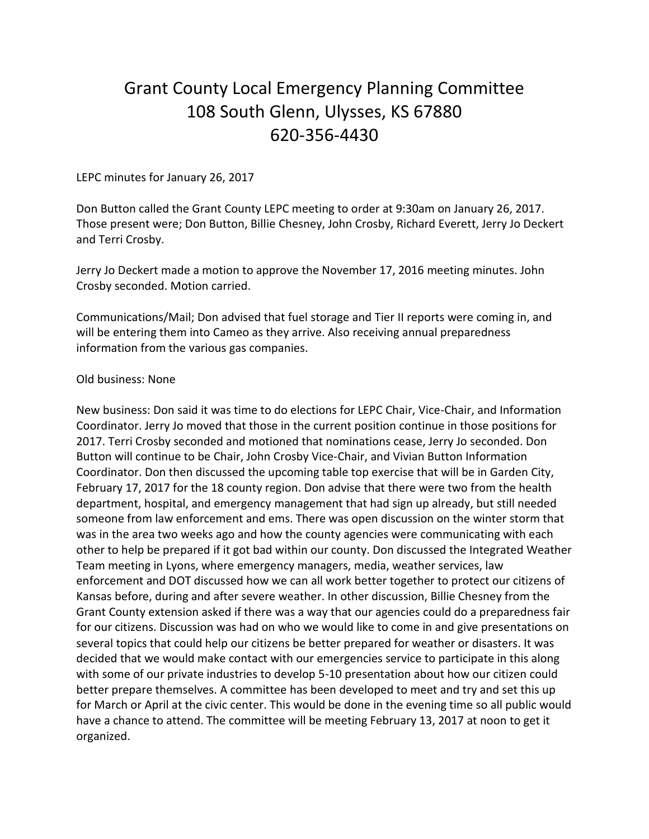## Grant County Local Emergency Planning Committee 108 South Glenn, Ulysses, KS 67880 620-356-4430

## LEPC minutes for January 26, 2017

Don Button called the Grant County LEPC meeting to order at 9:30am on January 26, 2017. Those present were; Don Button, Billie Chesney, John Crosby, Richard Everett, Jerry Jo Deckert and Terri Crosby.

Jerry Jo Deckert made a motion to approve the November 17, 2016 meeting minutes. John Crosby seconded. Motion carried.

Communications/Mail; Don advised that fuel storage and Tier II reports were coming in, and will be entering them into Cameo as they arrive. Also receiving annual preparedness information from the various gas companies.

## Old business: None

New business: Don said it was time to do elections for LEPC Chair, Vice-Chair, and Information Coordinator. Jerry Jo moved that those in the current position continue in those positions for 2017. Terri Crosby seconded and motioned that nominations cease, Jerry Jo seconded. Don Button will continue to be Chair, John Crosby Vice-Chair, and Vivian Button Information Coordinator. Don then discussed the upcoming table top exercise that will be in Garden City, February 17, 2017 for the 18 county region. Don advise that there were two from the health department, hospital, and emergency management that had sign up already, but still needed someone from law enforcement and ems. There was open discussion on the winter storm that was in the area two weeks ago and how the county agencies were communicating with each other to help be prepared if it got bad within our county. Don discussed the Integrated Weather Team meeting in Lyons, where emergency managers, media, weather services, law enforcement and DOT discussed how we can all work better together to protect our citizens of Kansas before, during and after severe weather. In other discussion, Billie Chesney from the Grant County extension asked if there was a way that our agencies could do a preparedness fair for our citizens. Discussion was had on who we would like to come in and give presentations on several topics that could help our citizens be better prepared for weather or disasters. It was decided that we would make contact with our emergencies service to participate in this along with some of our private industries to develop 5-10 presentation about how our citizen could better prepare themselves. A committee has been developed to meet and try and set this up for March or April at the civic center. This would be done in the evening time so all public would have a chance to attend. The committee will be meeting February 13, 2017 at noon to get it organized.